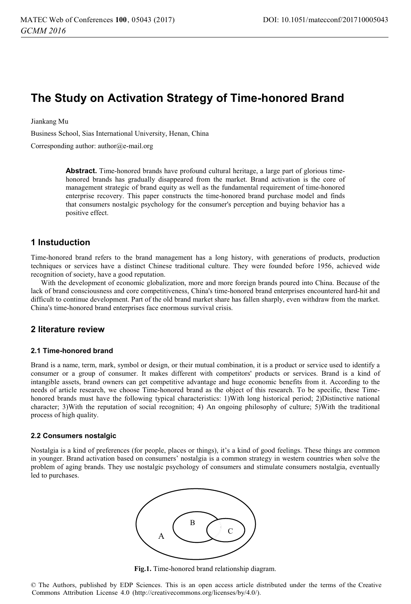# **The Study on Activation Strategy of Time-honored Brand**

Jiankang Mu

Business School, Sias International University, Henan, China

Corresponding author: author@e-mail.org

**Abstract.** Time-honored brands have profound cultural heritage, a large part of glorious timehonored brands has gradually disappeared from the market. Brand activation is the core of management strategic of brand equity as well as the fundamental requirement of time-honored enterprise recovery. This paper constructs the time-honored brand purchase model and finds that consumers nostalgic psychology for the consumer's perception and buying behavior has a positive effect.

# **1 Instuduction**

Time-honored brand refers to the brand management has a long history, with generations of products, production techniques or services have a distinct Chinese traditional culture. They were founded before 1956, achieved wide recognition of society, have a good reputation.

With the development of economic globalization, more and more foreign brands poured into China. Because of the lack of brand consciousness and core competitiveness, China's time-honored brand enterprises encountered hard-hit and difficult to continue development. Part of the old brand market share has fallen sharply, even withdraw from the market. China's time-honored brand enterprises face enormous survival crisis.

# **2 literature review**

#### **2.1 Time-honored brand**

Brand is a name, term, mark, symbol or design, or their mutual combination, it is a product or service used to identify a consumer or a group of consumer. It makes different with competitors' products or services. Brand is a kind of intangible assets, brand owners can get competitive advantage and huge economic benefits from it. According to the needs of article research, we choose Time-honored brand as the object of this research. To be specific, these Timehonored brands must have the following typical characteristics: 1)With long historical period; 2)Distinctive national character; 3)With the reputation of social recognition; 4) An ongoing philosophy of culture; 5)With the traditional process of high quality.

#### **2.2 Consumers nostalgic**

Nostalgia is a kind of preferences (for people, places or things), it's a kind of good feelings. These things are common in younger. Brand activation based on consumers' nostalgia is a common strategy in western countries when solve the problem of aging brands. They use nostalgic psychology of consumers and stimulate consumers nostalgia, eventually led to purchases.



**Fig.1.** Time-honored brand relationship diagram.

© The Authors, published by EDP Sciences. This is an open access article distributed under the terms of the Creative Commons Attribution License 4.0 (http://creativecommons.org/licenses/by/4.0/).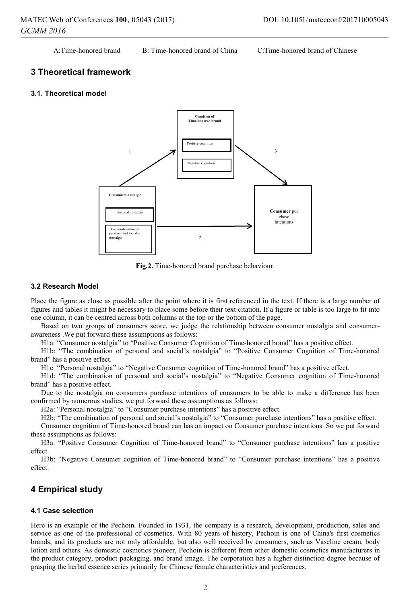A:Time-honored brand B: Time-honored brand of China C:Time-honored brand of Chinese

# **3 Theoretical framework**

## **3.1. Theoretical model**



**Fig.2.** Time-honored brand purchase behaviour.

## **3.2 Research Model**

Place the figure as close as possible after the point where it is first referenced in the text. If there is a large number of figures and tables it might be necessary to place some before their text citation. If a figure or table is too large to fit into one column, it can be centred across both columns at the top or the bottom of the page.

Based on two groups of consumers score, we judge the relationship between consumer nostalgia and consumerawareness .We put forward these assumptions as follows:

H1a: "Consumer nostalgia" to "Positive Consumer Cognition of Time-honored brand" has a positive effect.

H1b: "The combination of personal and social's nostalgia" to "Positive Consumer Cognition of Time-honored brand" has a positive effect.

H1c: "Personal nostalgia" to "Negative Consumer cognition of Time-honored brand" has a positive effect.

H1d: "The combination of personal and social's nostalgia" to "Negative Consumer cognition of Time-honored brand" has a positive effect.

Due to the nostalgia on consumers purchase intentions of consumers to be able to make a difference has been confirmed by numerous studies, we put forward these assumptions as follows:

H2a: "Personal nostalgia" to "Consumer purchase intentions" has a positive effect.

H2b: "The combination of personal and social's nostalgia" to "Consumer purchase intentions" has a positive effect.

Consumer cognition of Time-honored brand can has an impact on Consumer purchase intentions. So we put forward these assumptions as follows:

H3a: "Positive Consumer Cognition of Time-honored brand" to "Consumer purchase intentions" has a positive effect.

H3b: "Negative Consumer cognition of Time-honored brand" to "Consumer purchase intentions" has a positive effect.

# **4 Empirical study**

### **4.1 Case selection**

Here is an example of the Pechoin. Founded in 1931, the company is a research, development, production, sales and service as one of the professional of cosmetics. With 80 years of history, Pechoin is one of China's first cosmetics brands, and its products are not only affordable, but also well received by consumers, such as Vaseline cream, body lotion and others. As domestic cosmetics pioneer, Pechoin is different from other domestic cosmetics manufacturers in the product category, product packaging, and brand image. The corporation has a higher distinction degree because of grasping the herbal essence series primarily for Chinese female characteristics and preferences.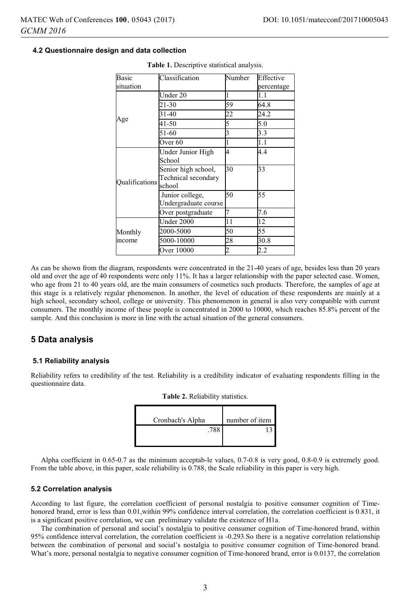## **4.2 Questionnaire design and data collection**

| Basic          | Classification                                       | Number         | Effective  |
|----------------|------------------------------------------------------|----------------|------------|
| situation      |                                                      |                | percentage |
|                | Under 20                                             | 1              | 1.1        |
|                | 21-30                                                | 59             | 64.8       |
|                | 31-40                                                | 22             | 24.2       |
| Age            | 41-50                                                | 5              | 5.0        |
|                | 51-60                                                | 3              | 3.3        |
|                | Over <sub>60</sub>                                   | 1              | 1.1        |
| Oualifications | Under Junior High<br>School                          | 4              | 4.4        |
|                | Senior high school,<br>Technical secondary<br>school | 30             | 33         |
|                | Junior college,<br>Undergraduate course              | 50             | 55         |
|                | Over postgraduate                                    | 7              | 7.6        |
| Monthly        | Under 2000                                           | 11             | 12         |
|                | 2000-5000                                            | 50             | 55         |
| income         | 5000-10000                                           | 28             | 30.8       |
|                | Over 10000                                           | $\overline{c}$ | 2.2        |

**Table 1.** Descriptive statistical analysis.

As can be shown from the diagram, respondents were concentrated in the 21-40 years of age, besides less than 20 years old and over the age of 40 respondents were only 11%. It has a larger relationship with the paper selected case. Women, who age from 21 to 40 years old, are the main consumers of cosmetics such products. Therefore, the samples of age at this stage is a relatively regular phenomenon. In another, the level of education of these respondents are mainly at a high school, secondary school, college or university. This phenomenon in general is also very compatible with current consumers. The monthly income of these people is concentrated in 2000 to 10000, which reaches 85.8% percent of the sample. And this conclusion is more in line with the actual situation of the general consumers.

## **5 Data analysis**

## **5.1 Reliability analysis**

Reliability refers to credibility of the test. Reliability is a credibility indicator of evaluating respondents filling in the questionnaire data.

| Cronbach's Alpha | number of item |
|------------------|----------------|
| .788             |                |

Alpha coefficient in 0.65-0.7 as the minimum acceptab-le values, 0.7-0.8 is very good, 0.8-0.9 is extremely good. From the table above, in this paper, scale reliability is 0.788, the Scale reliability in this paper is very high.

#### **5.2 Correlation analysis**

According to last figure, the correlation coefficient of personal nostalgia to positive consumer cognition of Timehonored brand, error is less than 0.01, within 99% confidence interval correlation, the correlation coefficient is 0.831, it is a significant positive correlation, we can preliminary validate the existence of H1a.

The combination of personal and social's nostalgia to positive consumer cognition of Time-honored brand, within 95% confidence interval correlation, the correlation coefficient is -0.293.So there is a negative correlation relationship between the combination of personal and social's nostalgia to positive consumer cognition of Time-honored brand. What's more, personal nostalgia to negative consumer cognition of Time-honored brand, error is 0.0137, the correlation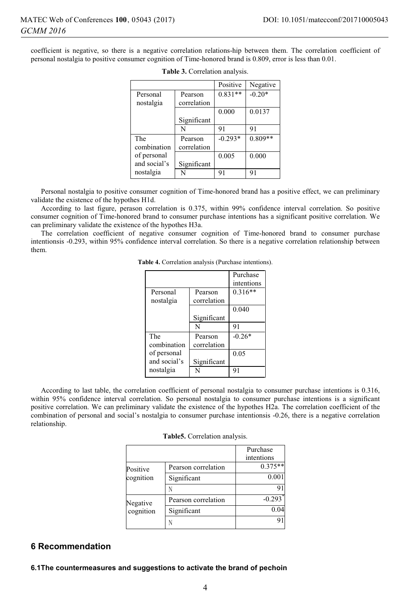coefficient is negative, so there is a negative correlation relations-hip between them. The correlation coefficient of personal nostalgia to positive consumer cognition of Time-honored brand is 0.809, error is less than 0.01.

|              |             | Positive  | Negative  |
|--------------|-------------|-----------|-----------|
| Personal     | Pearson     | $0.831**$ | $-0.20*$  |
| nostalgia    | correlation |           |           |
|              |             | 0.000     | 0.0137    |
|              | Significant |           |           |
|              | N           | 91        | 91        |
| The          | Pearson     | $-0.293*$ | $0.809**$ |
| combination  | correlation |           |           |
| of personal  |             | 0.005     | 0.000     |
| and social's | Significant |           |           |
| nostalgia    | N           | 91        | 91        |

| Table 3. Correlation analysis. |  |  |  |  |
|--------------------------------|--|--|--|--|
|--------------------------------|--|--|--|--|

Personal nostalgia to positive consumer cognition of Time-honored brand has a positive effect, we can preliminary validate the existence of the hypothes H1d.

According to last figure, perason correlation is 0.375, within 99% confidence interval correlation. So positive consumer cognition of Time-honored brand to consumer purchase intentions has a significant positive correlation. We can preliminary validate the existence of the hypothes H3a.

The correlation coefficient of negative consumer cognition of Time-honored brand to consumer purchase intentionsis -0.293, within 95% confidence interval correlation. So there is a negative correlation relationship between them.

|              |             | Purchase   |
|--------------|-------------|------------|
|              |             | intentions |
| Personal     | Pearson     | $0.316**$  |
| nostalgia    | correlation |            |
|              |             | 0.040      |
|              | Significant |            |
|              | N           | 91         |
| The          | Pearson     | $-0.26*$   |
| combination  | correlation |            |
| of personal  |             | 0.05       |
| and social's | Significant |            |
| nostalgia    |             | 91         |

**Table 4.** Correlation analysis (Purchase intentions).

According to last table, the correlation coefficient of personal nostalgia to consumer purchase intentions is 0.316, within 95% confidence interval correlation. So personal nostalgia to consumer purchase intentions is a significant positive correlation. We can preliminary validate the existence of the hypothes H2a. The correlation coefficient of the combination of personal and social's nostalgia to consumer purchase intentionsis -0.26, there is a negative correlation relationship.

| Table5. Correlation analysis. |  |
|-------------------------------|--|
|                               |  |

|           |                     | Purchase              |
|-----------|---------------------|-----------------------|
|           |                     | intentions            |
| Positive  | Pearson correlation | $0.375**$             |
| cognition | Significant         | 0.001                 |
|           |                     |                       |
| Negative  | Pearson correlation | $-0.293$ <sup>*</sup> |
| cognition | Significant         | 0.04                  |
|           |                     |                       |

# **6 Recommendation**

### **6.1The countermeasures and suggestions to activate the brand of pechoin**